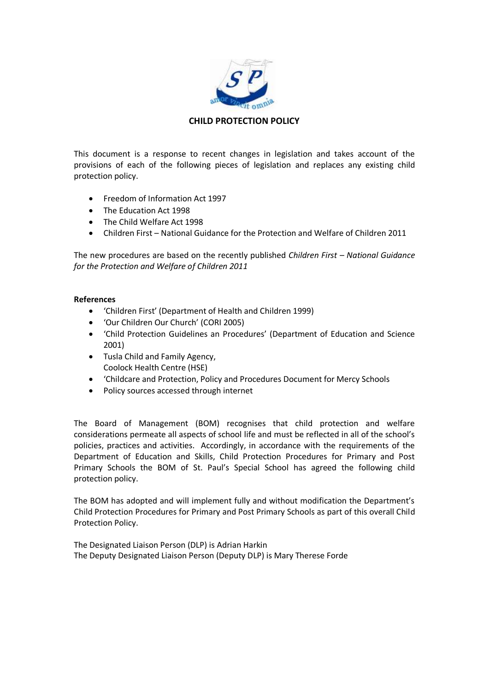

## **CHILD PROTECTION POLICY**

This document is a response to recent changes in legislation and takes account of the provisions of each of the following pieces of legislation and replaces any existing child protection policy.

- Freedom of Information Act 1997
- The Education Act 1998
- The Child Welfare Act 1998
- Children First National Guidance for the Protection and Welfare of Children 2011

The new procedures are based on the recently published *Children First – National Guidance for the Protection and Welfare of Children 2011*

## **References**

- 'Children First' (Department of Health and Children 1999)
- 'Our Children Our Church' (CORI 2005)
- 'Child Protection Guidelines an Procedures' (Department of Education and Science 2001)
- Tusla Child and Family Agency, Coolock Health Centre (HSE)
- 'Childcare and Protection, Policy and Procedures Document for Mercy Schools
- Policy sources accessed through internet

The Board of Management (BOM) recognises that child protection and welfare considerations permeate all aspects of school life and must be reflected in all of the school's policies, practices and activities. Accordingly, in accordance with the requirements of the Department of Education and Skills, Child Protection Procedures for Primary and Post Primary Schools the BOM of St. Paul's Special School has agreed the following child protection policy.

The BOM has adopted and will implement fully and without modification the Department's Child Protection Procedures for Primary and Post Primary Schools as part of this overall Child Protection Policy.

The Designated Liaison Person (DLP) is Adrian Harkin The Deputy Designated Liaison Person (Deputy DLP) is Mary Therese Forde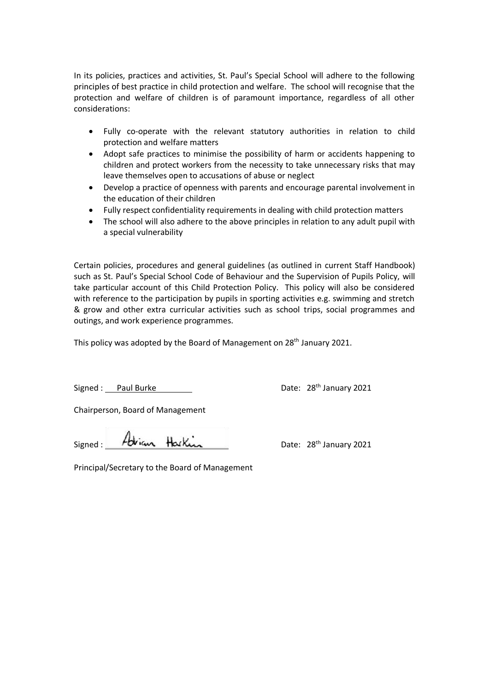In its policies, practices and activities, St. Paul's Special School will adhere to the following principles of best practice in child protection and welfare. The school will recognise that the protection and welfare of children is of paramount importance, regardless of all other considerations:

- Fully co-operate with the relevant statutory authorities in relation to child protection and welfare matters
- Adopt safe practices to minimise the possibility of harm or accidents happening to children and protect workers from the necessity to take unnecessary risks that may leave themselves open to accusations of abuse or neglect
- Develop a practice of openness with parents and encourage parental involvement in the education of their children
- Fully respect confidentiality requirements in dealing with child protection matters
- The school will also adhere to the above principles in relation to any adult pupil with a special vulnerability

Certain policies, procedures and general guidelines (as outlined in current Staff Handbook) such as St. Paul's Special School Code of Behaviour and the Supervision of Pupils Policy, will take particular account of this Child Protection Policy. This policy will also be considered with reference to the participation by pupils in sporting activities e.g. swimming and stretch & grow and other extra curricular activities such as school trips, social programmes and outings, and work experience programmes.

This policy was adopted by the Board of Management on 28<sup>th</sup> January 2021.

Signed : Paul Burke Date: 28<sup>th</sup> January 2021

Chairperson, Board of Management

Signed: Adrian Harkin Date: 28<sup>th</sup> January 2021

Principal/Secretary to the Board of Management